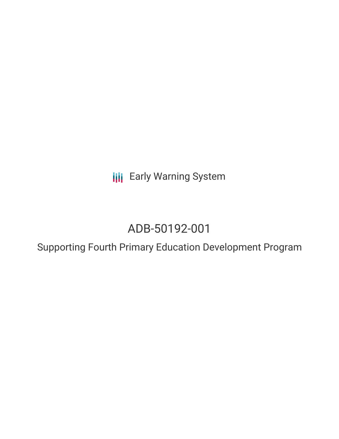**III** Early Warning System

# ADB-50192-001

Supporting Fourth Primary Education Development Program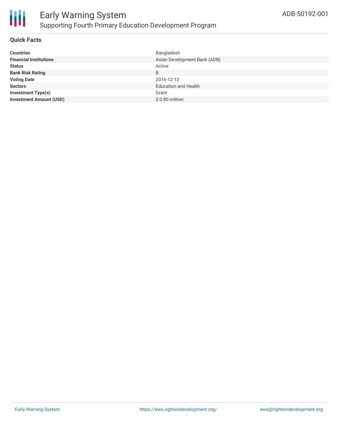

### **Quick Facts**

| Bangladesh                   |
|------------------------------|
| Asian Development Bank (ADB) |
| Active                       |
| B                            |
| 2016-12-13                   |
| <b>Education and Health</b>  |
| Grant                        |
| \$0.80 million               |
|                              |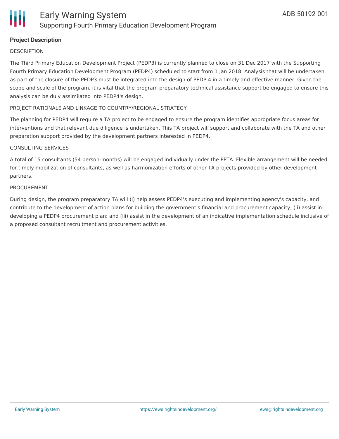

# **Project Description**

#### **DESCRIPTION**

The Third Primary Education Development Project (PEDP3) is currently planned to close on 31 Dec 2017 with the Supporting Fourth Primary Education Development Program (PEDP4) scheduled to start from 1 Jan 2018. Analysis that will be undertaken as part of the closure of the PEDP3 must be integrated into the design of PEDP 4 in a timely and effective manner. Given the scope and scale of the program, it is vital that the program preparatory technical assistance support be engaged to ensure this analysis can be duly assimilated into PEDP4's design.

#### PROJECT RATIONALE AND LINKAGE TO COUNTRY/REGIONAL STRATEGY

The planning for PEDP4 will require a TA project to be engaged to ensure the program identifies appropriate focus areas for interventions and that relevant due diligence is undertaken. This TA project will support and collaborate with the TA and other preparation support provided by the development partners interested in PEDP4.

#### CONSULTING SERVICES

A total of 15 consultants (54 person-months) will be engaged individually under the PPTA. Flexible arrangement will be needed for timely mobilization of consultants, as well as harmonization efforts of other TA projects provided by other development partners.

#### PROCUREMENT

During design, the program preparatory TA will (i) help assess PEDP4's executing and implementing agency's capacity, and contribute to the development of action plans for building the government's financial and procurement capacity; (ii) assist in developing a PEDP4 procurement plan; and (iii) assist in the development of an indicative implementation schedule inclusive of a proposed consultant recruitment and procurement activities.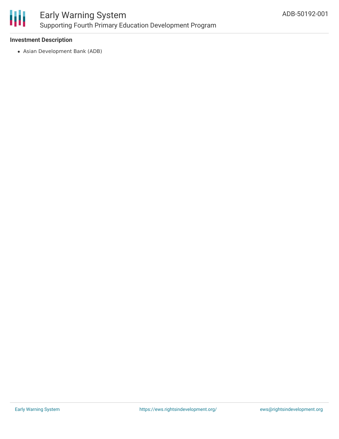

## **Investment Description**

Asian Development Bank (ADB)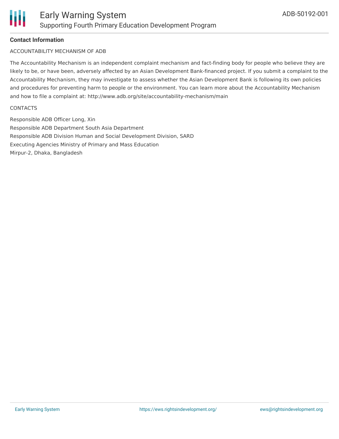## **Contact Information**

### ACCOUNTABILITY MECHANISM OF ADB

The Accountability Mechanism is an independent complaint mechanism and fact-finding body for people who believe they are likely to be, or have been, adversely affected by an Asian Development Bank-financed project. If you submit a complaint to the Accountability Mechanism, they may investigate to assess whether the Asian Development Bank is following its own policies and procedures for preventing harm to people or the environment. You can learn more about the Accountability Mechanism and how to file a complaint at: http://www.adb.org/site/accountability-mechanism/main

#### **CONTACTS**

Responsible ADB Officer Long, Xin Responsible ADB Department South Asia Department Responsible ADB Division Human and Social Development Division, SARD Executing Agencies Ministry of Primary and Mass Education Mirpur-2, Dhaka, Bangladesh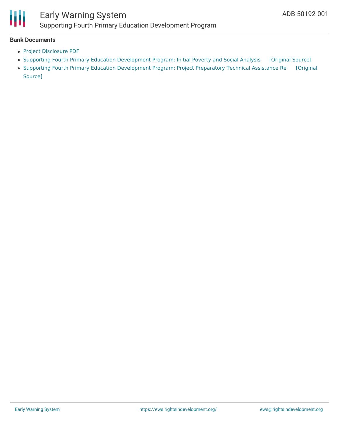

#### **Bank Documents**

- Project [Disclosure](https://www.adb.org/printpdf/projects/50192-001/main) PDF
- Supporting Fourth Primary Education [Development](https://ewsdata.rightsindevelopment.org/files/documents/01/ADB-50192-001.pdf) Program: Initial Poverty and Social Analysis [\[Original](https://www.adb.org/projects/documents/ban-supporting-pedp4-ipsa) Source]
- Supporting Fourth Primary Education [Development](https://ewsdata.rightsindevelopment.org/files/documents/01/ADB-50192-001_j1fgYWE.pdf) Program: Project Preparatory Technical Assistance Re [Original Source]